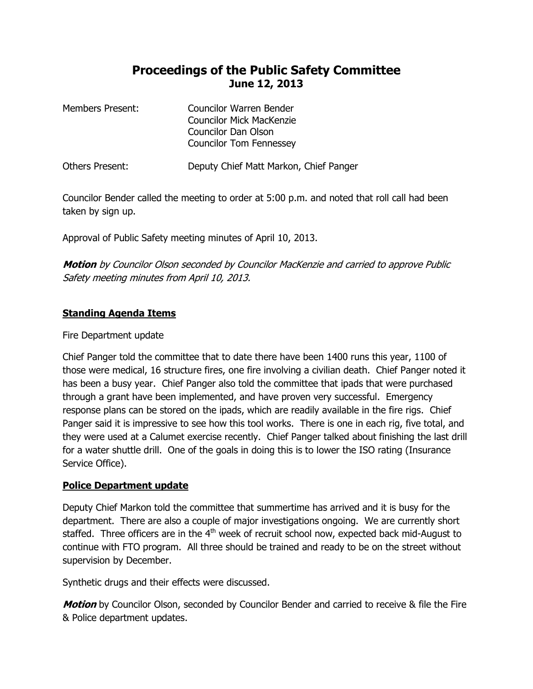# **Proceedings of the Public Safety Committee June 12, 2013**

| Members Present: | Councilor Warren Bender<br>Councilor Mick MacKenzie<br><b>Councilor Dan Olson</b><br><b>Councilor Tom Fennessey</b> |
|------------------|---------------------------------------------------------------------------------------------------------------------|
| Others Present:  | Deputy Chief Matt Markon, Chief Panger                                                                              |

Councilor Bender called the meeting to order at 5:00 p.m. and noted that roll call had been taken by sign up.

Approval of Public Safety meeting minutes of April 10, 2013.

**Motion** by Councilor Olson seconded by Councilor MacKenzie and carried to approve Public Safety meeting minutes from April 10, 2013.

## **Standing Agenda Items**

## Fire Department update

Chief Panger told the committee that to date there have been 1400 runs this year, 1100 of those were medical, 16 structure fires, one fire involving a civilian death. Chief Panger noted it has been a busy year. Chief Panger also told the committee that ipads that were purchased through a grant have been implemented, and have proven very successful. Emergency response plans can be stored on the ipads, which are readily available in the fire rigs. Chief Panger said it is impressive to see how this tool works. There is one in each rig, five total, and they were used at a Calumet exercise recently. Chief Panger talked about finishing the last drill for a water shuttle drill. One of the goals in doing this is to lower the ISO rating (Insurance Service Office).

### **Police Department update**

Deputy Chief Markon told the committee that summertime has arrived and it is busy for the department. There are also a couple of major investigations ongoing. We are currently short staffed. Three officers are in the  $4<sup>th</sup>$  week of recruit school now, expected back mid-August to continue with FTO program. All three should be trained and ready to be on the street without supervision by December.

Synthetic drugs and their effects were discussed.

**Motion** by Councilor Olson, seconded by Councilor Bender and carried to receive & file the Fire & Police department updates.